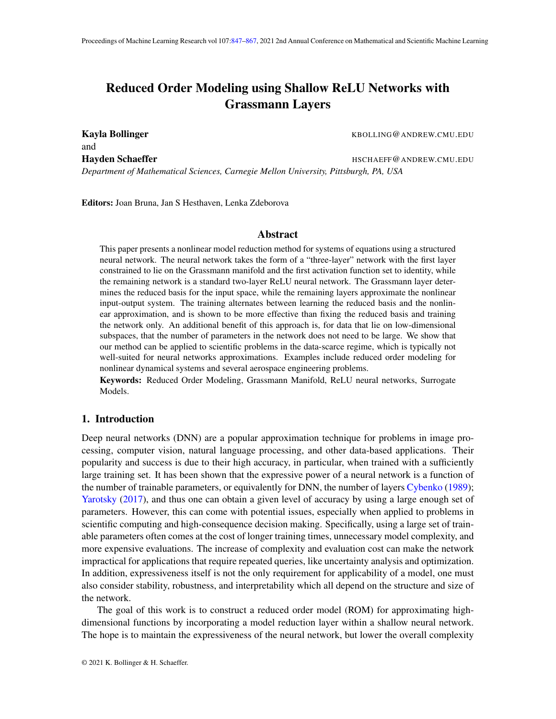# <span id="page-0-0"></span>Reduced Order Modeling using Shallow ReLU Networks with Grassmann Layers

and

Kayla Bollinger **Kayla Bollinger** KBOLLING@ANDREW.CMU.EDU

Hayden Schaeffer **Hayden Schaeffer HSCHAEFF@ANDREW.CMU.EDU** 

*Department of Mathematical Sciences, Carnegie Mellon University, Pittsburgh, PA, USA*

Editors: Joan Bruna, Jan S Hesthaven, Lenka Zdeborova

# Abstract

This paper presents a nonlinear model reduction method for systems of equations using a structured neural network. The neural network takes the form of a "three-layer" network with the first layer constrained to lie on the Grassmann manifold and the first activation function set to identity, while the remaining network is a standard two-layer ReLU neural network. The Grassmann layer determines the reduced basis for the input space, while the remaining layers approximate the nonlinear input-output system. The training alternates between learning the reduced basis and the nonlinear approximation, and is shown to be more effective than fixing the reduced basis and training the network only. An additional benefit of this approach is, for data that lie on low-dimensional subspaces, that the number of parameters in the network does not need to be large. We show that our method can be applied to scientific problems in the data-scarce regime, which is typically not well-suited for neural networks approximations. Examples include reduced order modeling for nonlinear dynamical systems and several aerospace engineering problems.

Keywords: Reduced Order Modeling, Grassmann Manifold, ReLU neural networks, Surrogate Models.

# <span id="page-0-1"></span>1. Introduction

Deep neural networks (DNN) are a popular approximation technique for problems in image processing, computer vision, natural language processing, and other data-based applications. Their popularity and success is due to their high accuracy, in particular, when trained with a sufficiently large training set. It has been shown that the expressive power of a neural network is a function of the number of trainable parameters, or equivalently for DNN, the number of layers [Cybenko](#page-15-0) [\(1989\)](#page-15-0); [Yarotsky](#page-18-0) [\(2017\)](#page-18-0), and thus one can obtain a given level of accuracy by using a large enough set of parameters. However, this can come with potential issues, especially when applied to problems in scientific computing and high-consequence decision making. Specifically, using a large set of trainable parameters often comes at the cost of longer training times, unnecessary model complexity, and more expensive evaluations. The increase of complexity and evaluation cost can make the network impractical for applications that require repeated queries, like uncertainty analysis and optimization. In addition, expressiveness itself is not the only requirement for applicability of a model, one must also consider stability, robustness, and interpretability which all depend on the structure and size of the network.

The goal of this work is to construct a reduced order model (ROM) for approximating highdimensional functions by incorporating a model reduction layer within a shallow neural network. The hope is to maintain the expressiveness of the neural network, but lower the overall complexity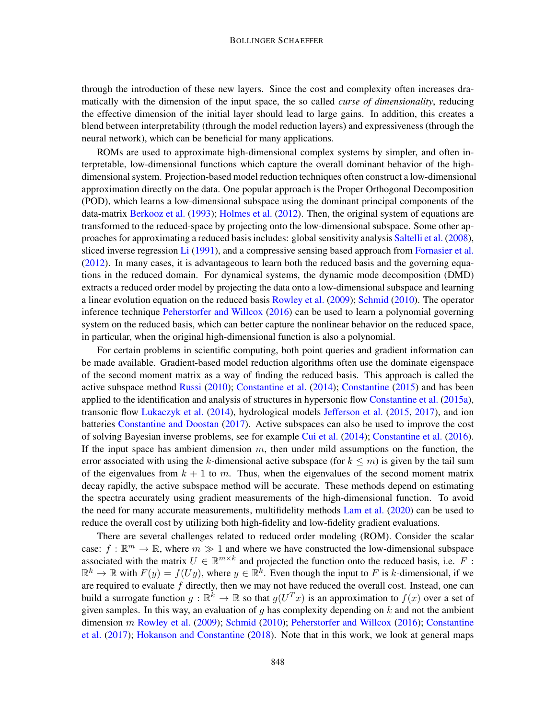through the introduction of these new layers. Since the cost and complexity often increases dramatically with the dimension of the input space, the so called *curse of dimensionality*, reducing the effective dimension of the initial layer should lead to large gains. In addition, this creates a blend between interpretability (through the model reduction layers) and expressiveness (through the neural network), which can be beneficial for many applications.

ROMs are used to approximate high-dimensional complex systems by simpler, and often interpretable, low-dimensional functions which capture the overall dominant behavior of the highdimensional system. Projection-based model reduction techniques often construct a low-dimensional approximation directly on the data. One popular approach is the Proper Orthogonal Decomposition (POD), which learns a low-dimensional subspace using the dominant principal components of the data-matrix [Berkooz et al.](#page-14-0) [\(1993\)](#page-14-0); [Holmes et al.](#page-16-0) [\(2012\)](#page-16-0). Then, the original system of equations are transformed to the reduced-space by projecting onto the low-dimensional subspace. Some other approaches for approximating a reduced basis includes: global sensitivity analysis [Saltelli et al.](#page-17-0) [\(2008\)](#page-17-0), sliced inverse regression [Li](#page-16-1) [\(1991\)](#page-16-1), and a compressive sensing based approach from [Fornasier et al.](#page-15-1) [\(2012\)](#page-15-1). In many cases, it is advantageous to learn both the reduced basis and the governing equations in the reduced domain. For dynamical systems, the dynamic mode decomposition (DMD) extracts a reduced order model by projecting the data onto a low-dimensional subspace and learning a linear evolution equation on the reduced basis [Rowley et al.](#page-17-1) [\(2009\)](#page-17-1); [Schmid](#page-17-2) [\(2010\)](#page-17-2). The operator inference technique [Peherstorfer and Willcox](#page-16-2) [\(2016\)](#page-16-2) can be used to learn a polynomial governing system on the reduced basis, which can better capture the nonlinear behavior on the reduced space, in particular, when the original high-dimensional function is also a polynomial.

For certain problems in scientific computing, both point queries and gradient information can be made available. Gradient-based model reduction algorithms often use the dominate eigenspace of the second moment matrix as a way of finding the reduced basis. This approach is called the active subspace method [Russi](#page-17-3) [\(2010\)](#page-17-3); [Constantine et al.](#page-14-1) [\(2014\)](#page-14-1); [Constantine](#page-14-2) [\(2015\)](#page-14-2) and has been applied to the identification and analysis of structures in hypersonic flow [Constantine et al.](#page-15-2) [\(2015a\)](#page-15-2), transonic flow [Lukaczyk et al.](#page-16-3) [\(2014\)](#page-16-3), hydrological models [Jefferson et al.](#page-16-4) [\(2015,](#page-16-4) [2017\)](#page-16-5), and ion batteries [Constantine and Doostan](#page-14-3) [\(2017\)](#page-14-3). Active subspaces can also be used to improve the cost of solving Bayesian inverse problems, see for example [Cui et al.](#page-15-3) [\(2014\)](#page-15-3); [Constantine et al.](#page-15-4) [\(2016\)](#page-15-4). If the input space has ambient dimension  $m$ , then under mild assumptions on the function, the error associated with using the k-dimensional active subspace (for  $k \le m$ ) is given by the tail sum of the eigenvalues from  $k + 1$  to m. Thus, when the eigenvalues of the second moment matrix decay rapidly, the active subspace method will be accurate. These methods depend on estimating the spectra accurately using gradient measurements of the high-dimensional function. To avoid the need for many accurate measurements, multifidelity methods [Lam et al.](#page-16-6) [\(2020\)](#page-16-6) can be used to reduce the overall cost by utilizing both high-fidelity and low-fidelity gradient evaluations.

There are several challenges related to reduced order modeling (ROM). Consider the scalar case:  $f : \mathbb{R}^m \to \mathbb{R}$ , where  $m \gg 1$  and where we have constructed the low-dimensional subspace associated with the matrix  $U \in \mathbb{R}^{m \times k}$  and projected the function onto the reduced basis, i.e. F:  $\mathbb{R}^k \to \mathbb{R}$  with  $F(y) = f(Uy)$ , where  $y \in \mathbb{R}^k$ . Even though the input to F is k-dimensional, if we are required to evaluate  $f$  directly, then we may not have reduced the overall cost. Instead, one can build a surrogate function  $g : \mathbb{R}^k \to \mathbb{R}$  so that  $g(U^T x)$  is an approximation to  $f(x)$  over a set of given samples. In this way, an evaluation of q has complexity depending on  $k$  and not the ambient dimension m [Rowley et al.](#page-17-1) [\(2009\)](#page-17-1); [Schmid](#page-17-2) [\(2010\)](#page-17-2); [Peherstorfer and Willcox](#page-16-2) [\(2016\)](#page-16-2); [Constantine](#page-15-5) [et al.](#page-15-5) [\(2017\)](#page-15-5); [Hokanson and Constantine](#page-15-6) [\(2018\)](#page-15-6). Note that in this work, we look at general maps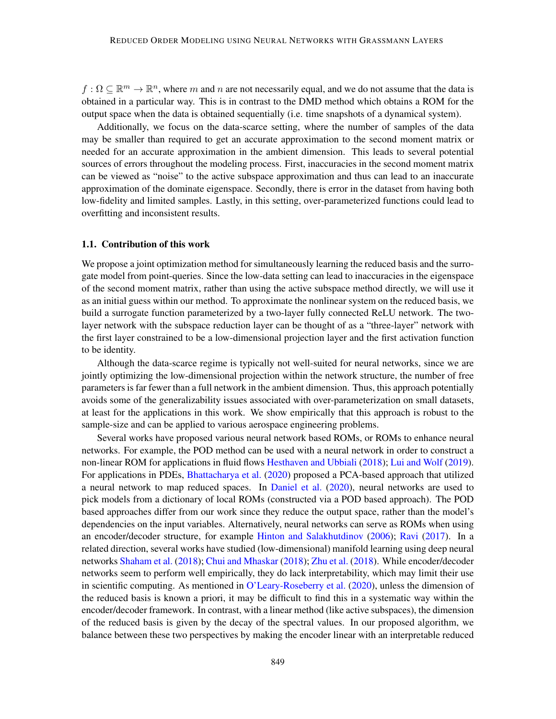$f: \Omega \subseteq \mathbb{R}^m \to \mathbb{R}^n$ , where m and n are not necessarily equal, and we do not assume that the data is obtained in a particular way. This is in contrast to the DMD method which obtains a ROM for the output space when the data is obtained sequentially (i.e. time snapshots of a dynamical system).

Additionally, we focus on the data-scarce setting, where the number of samples of the data may be smaller than required to get an accurate approximation to the second moment matrix or needed for an accurate approximation in the ambient dimension. This leads to several potential sources of errors throughout the modeling process. First, inaccuracies in the second moment matrix can be viewed as "noise" to the active subspace approximation and thus can lead to an inaccurate approximation of the dominate eigenspace. Secondly, there is error in the dataset from having both low-fidelity and limited samples. Lastly, in this setting, over-parameterized functions could lead to overfitting and inconsistent results.

### 1.1. Contribution of this work

We propose a joint optimization method for simultaneously learning the reduced basis and the surrogate model from point-queries. Since the low-data setting can lead to inaccuracies in the eigenspace of the second moment matrix, rather than using the active subspace method directly, we will use it as an initial guess within our method. To approximate the nonlinear system on the reduced basis, we build a surrogate function parameterized by a two-layer fully connected ReLU network. The twolayer network with the subspace reduction layer can be thought of as a "three-layer" network with the first layer constrained to be a low-dimensional projection layer and the first activation function to be identity.

Although the data-scarce regime is typically not well-suited for neural networks, since we are jointly optimizing the low-dimensional projection within the network structure, the number of free parameters is far fewer than a full network in the ambient dimension. Thus, this approach potentially avoids some of the generalizability issues associated with over-parameterization on small datasets, at least for the applications in this work. We show empirically that this approach is robust to the sample-size and can be applied to various aerospace engineering problems.

Several works have proposed various neural network based ROMs, or ROMs to enhance neural networks. For example, the POD method can be used with a neural network in order to construct a non-linear ROM for applications in fluid flows [Hesthaven and Ubbiali](#page-15-7) [\(2018\)](#page-15-7); [Lui and Wolf](#page-16-7) [\(2019\)](#page-16-7). For applications in PDEs, [Bhattacharya et al.](#page-14-4) [\(2020\)](#page-14-4) proposed a PCA-based approach that utilized a neural network to map reduced spaces. In [Daniel et al.](#page-15-8) [\(2020\)](#page-15-8), neural networks are used to pick models from a dictionary of local ROMs (constructed via a POD based approach). The POD based approaches differ from our work since they reduce the output space, rather than the model's dependencies on the input variables. Alternatively, neural networks can serve as ROMs when using an encoder/decoder structure, for example [Hinton and Salakhutdinov](#page-15-9) [\(2006\)](#page-15-9); [Ravi](#page-17-4) [\(2017\)](#page-17-4). In a related direction, several works have studied (low-dimensional) manifold learning using deep neural networks [Shaham et al.](#page-17-5) [\(2018\)](#page-17-5); [Chui and Mhaskar](#page-14-5) [\(2018\)](#page-14-5); [Zhu et al.](#page-18-1) [\(2018\)](#page-18-1). While encoder/decoder networks seem to perform well empirically, they do lack interpretability, which may limit their use in scientific computing. As mentioned in [O'Leary-Roseberry et al.](#page-16-8) [\(2020\)](#page-16-8), unless the dimension of the reduced basis is known a priori, it may be difficult to find this in a systematic way within the encoder/decoder framework. In contrast, with a linear method (like active subspaces), the dimension of the reduced basis is given by the decay of the spectral values. In our proposed algorithm, we balance between these two perspectives by making the encoder linear with an interpretable reduced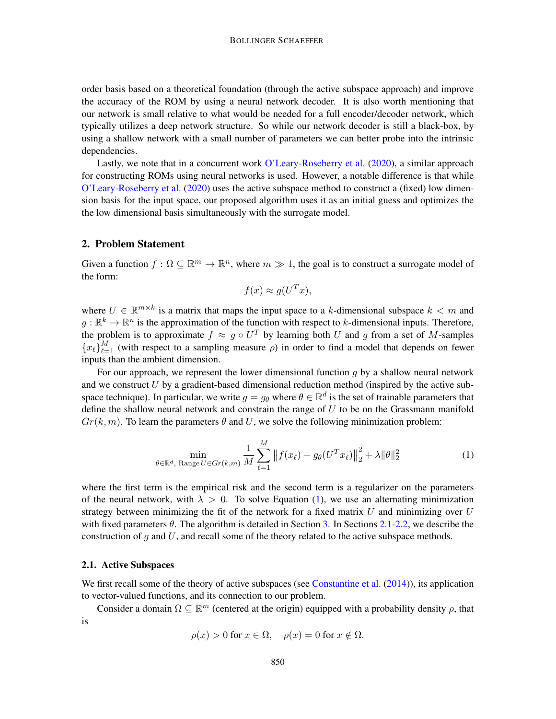order basis based on a theoretical foundation (through the active subspace approach) and improve the accuracy of the ROM by using a neural network decoder. It is also worth mentioning that our network is small relative to what would be needed for a full encoder/decoder network, which typically utilizes a deep network structure. So while our network decoder is still a black-box, by using a shallow network with a small number of parameters we can better probe into the intrinsic dependencies.

Lastly, we note that in a concurrent work [O'Leary-Roseberry et al.](#page-16-8) [\(2020\)](#page-16-8), a similar approach for constructing ROMs using neural networks is used. However, a notable difference is that while [O'Leary-Roseberry et al.](#page-16-8) [\(2020\)](#page-16-8) uses the active subspace method to construct a (fixed) low dimension basis for the input space, our proposed algorithm uses it as an initial guess and optimizes the the low dimensional basis simultaneously with the surrogate model.

# 2. Problem Statement

Given a function  $f : \Omega \subseteq \mathbb{R}^m \to \mathbb{R}^n$ , where  $m \gg 1$ , the goal is to construct a surrogate model of the form:

<span id="page-3-0"></span>
$$
f(x) \approx g(U^T x),
$$

where  $U \in \mathbb{R}^{m \times k}$  is a matrix that maps the input space to a k-dimensional subspace  $k < m$  and  $g: \mathbb{R}^k \to \mathbb{R}^n$  is the approximation of the function with respect to k-dimensional inputs. Therefore, the problem is to approximate  $f \approx g \circ U^T$  by learning both U and g from a set of M-samples  ${x_\ell}_{\ell=1}^M$  (with respect to a sampling measure  $\rho$ ) in order to find a model that depends on fewer inputs than the ambient dimension.

For our approach, we represent the lower dimensional function  $g$  by a shallow neural network and we construct  $U$  by a gradient-based dimensional reduction method (inspired by the active subspace technique). In particular, we write  $g = g_\theta$  where  $\theta \in \mathbb{R}^d$  is the set of trainable parameters that define the shallow neural network and constrain the range of  $U$  to be on the Grassmann manifold  $Gr(k, m)$ . To learn the parameters  $\theta$  and U, we solve the following minimization problem:

$$
\min_{\theta \in \mathbb{R}^d, \text{ Range } U \in Gr(k,m)} \frac{1}{M} \sum_{\ell=1}^M \| f(x_\ell) - g_\theta(U^T x_\ell) \|_2^2 + \lambda \|\theta\|_2^2 \tag{1}
$$

where the first term is the empirical risk and the second term is a regularizer on the parameters of the neural network, with  $\lambda > 0$ . To solve Equation [\(1\)](#page-3-0), we use an alternating minimization strategy between minimizing the fit of the network for a fixed matrix  $U$  and minimizing over  $U$ with fixed parameters  $\theta$ . The algorithm is detailed in Section [3.](#page-7-0) In Sections [2.1-](#page-3-1)[2.2,](#page-5-0) we describe the construction of  $q$  and  $U$ , and recall some of the theory related to the active subspace methods.

#### <span id="page-3-1"></span>2.1. Active Subspaces

We first recall some of the theory of active subspaces (see [Constantine et al.](#page-14-1)  $(2014)$ ), its application to vector-valued functions, and its connection to our problem.

Consider a domain  $\Omega \subseteq \mathbb{R}^m$  (centered at the origin) equipped with a probability density  $\rho$ , that is

$$
\rho(x) > 0 \text{ for } x \in \Omega, \quad \rho(x) = 0 \text{ for } x \notin \Omega.
$$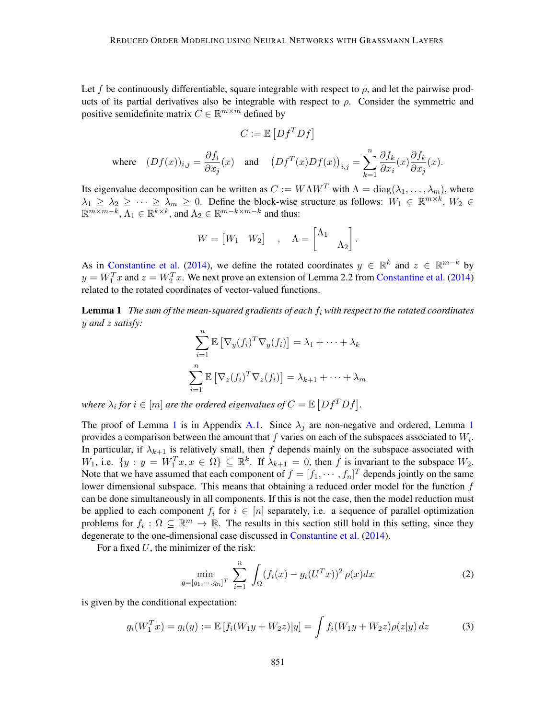Let f be continuously differentiable, square integrable with respect to  $\rho$ , and let the pairwise products of its partial derivatives also be integrable with respect to  $\rho$ . Consider the symmetric and positive semidefinite matrix  $C \in \mathbb{R}^{m \times m}$  defined by

$$
C := \mathbb{E}\left[Df^T D f\right]
$$

$$
\text{where}\quad (Df(x))_{i,j}=\frac{\partial f_i}{\partial x_j}(x)\quad\text{and}\quad \left(Df^T(x)Df(x)\right)_{i,j}=\sum_{k=1}^n\frac{\partial f_k}{\partial x_i}(x)\frac{\partial f_k}{\partial x_j}(x).
$$

Its eigenvalue decomposition can be written as  $C := W\Lambda W^T$  with  $\Lambda = \text{diag}(\lambda_1, \dots, \lambda_m)$ , where  $\lambda_1 \geq \lambda_2 \geq \cdots \geq \lambda_m \geq 0$ . Define the block-wise structure as follows:  $W_1 \in \mathbb{R}^{m \times k}$ ,  $W_2 \in$  $\mathbb{R}^{m \times m-k}$ ,  $\Lambda_1 \in \mathbb{R}^{k \times k}$ , and  $\Lambda_2 \in \mathbb{R}^{m-k \times m-k}$  and thus:

$$
W = \begin{bmatrix} W_1 & W_2 \end{bmatrix} , \quad \Lambda = \begin{bmatrix} \Lambda_1 & \\ & \Lambda_2 \end{bmatrix}
$$

.

As in [Constantine et al.](#page-14-1) [\(2014\)](#page-14-1), we define the rotated coordinates  $y \in \mathbb{R}^k$  and  $z \in \mathbb{R}^{m-k}$  by  $y = W_1^T x$  and  $z = W_2^T x$ . We next prove an extension of Lemma 2.2 from [Constantine et al.](#page-14-1) [\(2014\)](#page-14-1) related to the rotated coordinates of vector-valued functions.

<span id="page-4-0"></span>**Lemma 1** *The sum of the mean-squared gradients of each*  $f_i$  *with respect to the rotated coordinates* y *and* z *satisfy:*

$$
\sum_{i=1}^{n} \mathbb{E} \left[ \nabla_y(f_i)^T \nabla_y(f_i) \right] = \lambda_1 + \dots + \lambda_k
$$

$$
\sum_{i=1}^{n} \mathbb{E} \left[ \nabla_z(f_i)^T \nabla_z(f_i) \right] = \lambda_{k+1} + \dots + \lambda_m
$$

where  $\lambda_i$  for  $i \in [m]$  are the ordered eigenvalues of  $C = \mathbb{E}\left[ Df^T Df \right]$ .

The proof of Lemma [1](#page-4-0) is in Appendix [A.1.](#page-18-2) Since  $\lambda_j$  are non-negative and ordered, Lemma 1 provides a comparison between the amount that  $f$  varies on each of the subspaces associated to  $W_i$ . In particular, if  $\lambda_{k+1}$  is relatively small, then f depends mainly on the subspace associated with W<sub>1</sub>, i.e.  $\{y : y = W_1^T x, x \in \Omega\} \subseteq \mathbb{R}^k$ . If  $\lambda_{k+1} = 0$ , then f is invariant to the subspace  $W_2$ . Note that we have assumed that each component of  $f = [f_1, \dots, f_n]^T$  depends jointly on the same lower dimensional subspace. This means that obtaining a reduced order model for the function  $f$ can be done simultaneously in all components. If this is not the case, then the model reduction must be applied to each component  $f_i$  for  $i \in [n]$  separately, i.e. a sequence of parallel optimization problems for  $f_i: \Omega \subseteq \mathbb{R}^m \to \mathbb{R}$ . The results in this section still hold in this setting, since they degenerate to the one-dimensional case discussed in [Constantine et al.](#page-14-1) [\(2014\)](#page-14-1).

For a fixed  $U$ , the minimizer of the risk:

<span id="page-4-2"></span><span id="page-4-1"></span>
$$
\min_{g = [g_1, \cdots, g_n]^T} \sum_{i=1}^n \int_{\Omega} (f_i(x) - g_i(U^T x))^2 \, \rho(x) dx \tag{2}
$$

is given by the conditional expectation:

$$
g_i(W_1^T x) = g_i(y) := \mathbb{E}\left[f_i(W_1 y + W_2 z)|y\right] = \int f_i(W_1 y + W_2 z)\rho(z|y) dz \tag{3}
$$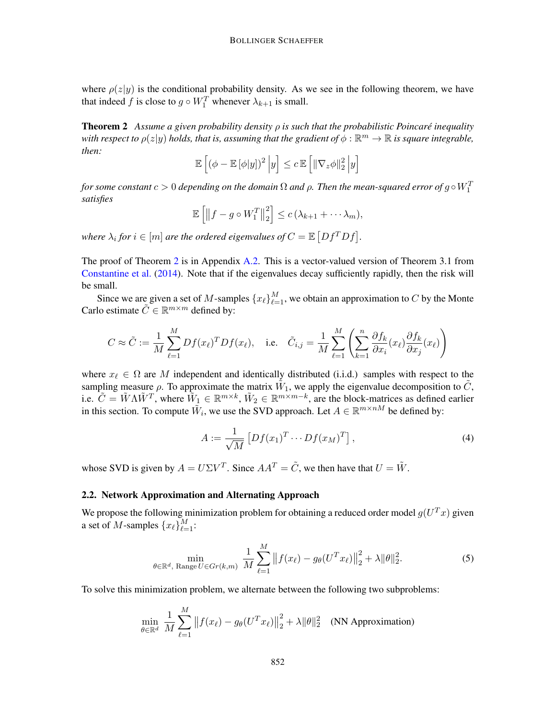where  $\rho(z|y)$  is the conditional probability density. As we see in the following theorem, we have that indeed f is close to  $g \circ W_1^T$  whenever  $\lambda_{k+1}$  is small.

<span id="page-5-1"></span>Theorem 2 *Assume a given probability density* ρ *is such that the probabilistic Poincare inequality ´* with respect to  $\rho(z|y)$  holds, that is, assuming that the gradient of  $\phi: \mathbb{R}^m \to \mathbb{R}$  is square integrable, *then:*

$$
\mathbb{E}\left[\left(\phi - \mathbb{E}\left[\phi|y\right]\right)^2 \Big| y\right] \leq c \mathbb{E}\left[\left\|\nabla_z \phi\right\|_2^2 \Big| y\right]
$$

*for some constant*  $c > 0$  *depending on the domain*  $\Omega$  *and*  $\rho$ *. Then the mean-squared error of g* ◦  $W_1^T$ *satisfies*

$$
\mathbb{E}\left[\left\|f-g\circ W_{1}^{T}\right\|_{2}^{2}\right]\leq c\left(\lambda_{k+1}+\cdots\lambda_{m}\right),
$$

where  $\lambda_i$  for  $i \in [m]$  are the ordered eigenvalues of  $C = \mathbb{E}\left[ Df^T Df \right]$ .

The proof of Theorem [2](#page-5-1) is in Appendix [A.2.](#page-18-3) This is a vector-valued version of Theorem 3.1 from [Constantine et al.](#page-14-1) [\(2014\)](#page-14-1). Note that if the eigenvalues decay sufficiently rapidly, then the risk will be small.

Since we are given a set of M-samples  $\{x_\ell\}_{\ell=1}^M$ , we obtain an approximation to C by the Monte Carlo estimate  $\tilde{C} \in \mathbb{R}^{m \times m}$  defined by:

$$
C \approx \tilde{C} := \frac{1}{M} \sum_{\ell=1}^{M} Df(x_{\ell})^{T} Df(x_{\ell}), \quad \text{i.e.} \quad \tilde{C}_{i,j} = \frac{1}{M} \sum_{\ell=1}^{M} \left( \sum_{k=1}^{n} \frac{\partial f_{k}}{\partial x_{i}}(x_{\ell}) \frac{\partial f_{k}}{\partial x_{j}}(x_{\ell}) \right)
$$

where  $x_\ell \in \Omega$  are M independent and identically distributed (i.i.d.) samples with respect to the sampling measure  $\rho$ . To approximate the matrix  $\tilde{W}_1$ , we apply the eigenvalue decomposition to  $\tilde{C}$ , i.e.  $\tilde{C} = \tilde{W}\Lambda \tilde{W}^T$ , where  $\tilde{W}_1 \in \mathbb{R}^{m \times k}$ ,  $\tilde{W}_2 \in \mathbb{R}^{m \times m-k}$ , are the block-matrices as defined earlier in this section. To compute  $\tilde{W}_i$ , we use the SVD approach. Let  $A \in \mathbb{R}^{m \times nM}$  be defined by:

<span id="page-5-3"></span><span id="page-5-2"></span>
$$
A := \frac{1}{\sqrt{M}} \left[ Df(x_1)^T \cdots Df(x_M)^T \right],\tag{4}
$$

whose SVD is given by  $A = U\Sigma V^T$ . Since  $AA^T = \tilde{C}$ , we then have that  $U = \tilde{W}$ .

# <span id="page-5-0"></span>2.2. Network Approximation and Alternating Approach

We propose the following minimization problem for obtaining a reduced order model  $g(U^Tx)$  given a set of M-samples  $\{x_\ell\}_{\ell=1}^M$ :

$$
\min_{\theta \in \mathbb{R}^d, \text{ Range } U \in Gr(k,m)} \frac{1}{M} \sum_{\ell=1}^M \| f(x_\ell) - g_\theta(U^T x_\ell) \|_2^2 + \lambda \|\theta\|_2^2. \tag{5}
$$

To solve this minimization problem, we alternate between the following two subproblems:

$$
\min_{\theta \in \mathbb{R}^d} \frac{1}{M} \sum_{\ell=1}^M \left\| f(x_\ell) - g_\theta(U^T x_\ell) \right\|_2^2 + \lambda \|\theta\|_2^2 \quad \text{(NN Approximation)}
$$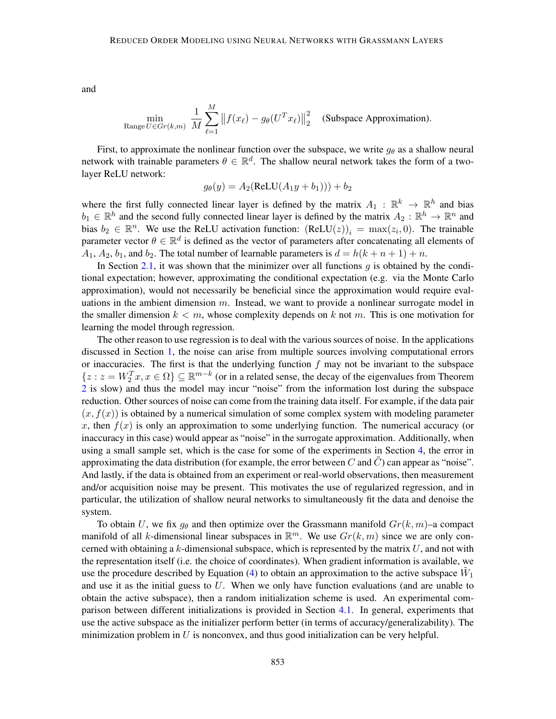and

$$
\min_{\text{Range } U \in Gr(k,m)} \frac{1}{M} \sum_{\ell=1}^{M} \left\| f(x_{\ell}) - g_{\theta}(U^{T} x_{\ell}) \right\|_{2}^{2} \quad \text{(Subspace Approximation)}.
$$

First, to approximate the nonlinear function over the subspace, we write  $g_{\theta}$  as a shallow neural network with trainable parameters  $\theta \in \mathbb{R}^d$ . The shallow neural network takes the form of a twolayer ReLU network:

$$
g_{\theta}(y) = A_2(\text{ReLU}(A_1y + b_1))) + b_2
$$

where the first fully connected linear layer is defined by the matrix  $A_1 : \mathbb{R}^k \to \mathbb{R}^h$  and bias  $b_1 \in \mathbb{R}^h$  and the second fully connected linear layer is defined by the matrix  $A_2 : \mathbb{R}^h \to \mathbb{R}^n$  and bias  $b_2 \in \mathbb{R}^n$ . We use the ReLU activation function:  $(ReLU(z))_i = \max(z_i, 0)$ . The trainable parameter vector  $\theta \in \mathbb{R}^d$  is defined as the vector of parameters after concatenating all elements of  $A_1, A_2, b_1$ , and  $b_2$ . The total number of learnable parameters is  $d = h(k + n + 1) + n$ .

In Section [2.1,](#page-3-1) it was shown that the minimizer over all functions  $q$  is obtained by the conditional expectation; however, approximating the conditional expectation (e.g. via the Monte Carlo approximation), would not necessarily be beneficial since the approximation would require evaluations in the ambient dimension  $m$ . Instead, we want to provide a nonlinear surrogate model in the smaller dimension  $k < m$ , whose complexity depends on k not m. This is one motivation for learning the model through regression.

The other reason to use regression is to deal with the various sources of noise. In the applications discussed in Section [1,](#page-0-1) the noise can arise from multiple sources involving computational errors or inaccuracies. The first is that the underlying function  $f$  may not be invariant to the subspace  $\{z: z = W_2^T x, x \in \Omega\} \subseteq \mathbb{R}^{m-k}$  (or in a related sense, the decay of the eigenvalues from Theorem [2](#page-5-1) is slow) and thus the model may incur "noise" from the information lost during the subspace reduction. Other sources of noise can come from the training data itself. For example, if the data pair  $(x, f(x))$  is obtained by a numerical simulation of some complex system with modeling parameter x, then  $f(x)$  is only an approximation to some underlying function. The numerical accuracy (or inaccuracy in this case) would appear as "noise" in the surrogate approximation. Additionally, when using a small sample set, which is the case for some of the experiments in Section [4,](#page-8-0) the error in approximating the data distribution (for example, the error between  $C$  and  $C$ ) can appear as "noise". And lastly, if the data is obtained from an experiment or real-world observations, then measurement and/or acquisition noise may be present. This motivates the use of regularized regression, and in particular, the utilization of shallow neural networks to simultaneously fit the data and denoise the system.

To obtain U, we fix  $g_{\theta}$  and then optimize over the Grassmann manifold  $Gr(k, m)$ –a compact manifold of all k-dimensional linear subspaces in  $\mathbb{R}^m$ . We use  $Gr(k, m)$  since we are only concerned with obtaining a  $k$ -dimensional subspace, which is represented by the matrix  $U$ , and not with the representation itself (i.e. the choice of coordinates). When gradient information is available, we use the procedure described by Equation [\(4\)](#page-5-2) to obtain an approximation to the active subspace  $\tilde{W}_1$ and use it as the initial guess to  $U$ . When we only have function evaluations (and are unable to obtain the active subspace), then a random initialization scheme is used. An experimental comparison between different initializations is provided in Section [4.1.](#page-8-1) In general, experiments that use the active subspace as the initializer perform better (in terms of accuracy/generalizability). The minimization problem in  $U$  is nonconvex, and thus good initialization can be very helpful.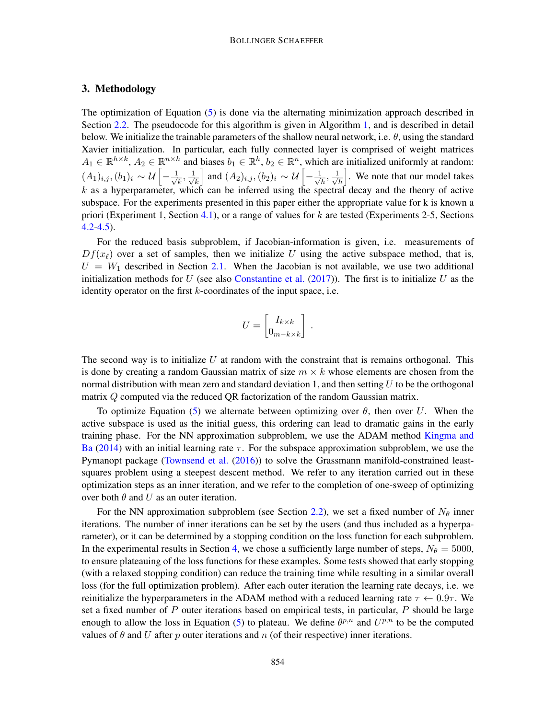# <span id="page-7-0"></span>3. Methodology

The optimization of Equation [\(5\)](#page-5-3) is done via the alternating minimization approach described in Section [2.2.](#page-5-0) The pseudocode for this algorithm is given in Algorithm [1,](#page-8-2) and is described in detail below. We initialize the trainable parameters of the shallow neural network, i.e.  $\theta$ , using the standard Xavier initialization. In particular, each fully connected layer is comprised of weight matrices  $A_1 \in \mathbb{R}^{h \times k}$ ,  $A_2 \in \mathbb{R}^{n \times h}$  and biases  $b_1 \in \mathbb{R}^h$ ,  $b_2 \in \mathbb{R}^n$ , which are initialized uniformly at random:  $(A_1)_{i,j}, (b_1)_i \sim \mathcal{U}\left[-\frac{1}{\sqrt{2}}\right]$  $\frac{1}{k}, \frac{1}{\sqrt{k}}$ k  $\Box$  and  $(A_2)_{i,j}$ ,  $(b_2)_i$  ∼  $\mathcal{U}\left[-\frac{1}{\sqrt{2}}\right]$  $\frac{1}{h}, \frac{1}{\sqrt{h}}$ h i . We note that our model takes  $k$  as a hyperparameter, which can be inferred using the spectral decay and the theory of active subspace. For the experiments presented in this paper either the appropriate value for k is known a priori (Experiment 1, Section [4.1\)](#page-8-1), or a range of values for k are tested (Experiments 2-5, Sections  $4.2 - 4.5$ ).

For the reduced basis subproblem, if Jacobian-information is given, i.e. measurements of  $Df(x_\ell)$  over a set of samples, then we initialize U using the active subspace method, that is,  $U = W_1$  described in Section [2.1.](#page-3-1) When the Jacobian is not available, we use two additional initialization methods for U (see also [Constantine et al.](#page-15-5)  $(2017)$ ). The first is to initialize U as the identity operator on the first k-coordinates of the input space, i.e.

$$
U = \begin{bmatrix} I_{k \times k} \\ 0_{m-k \times k} \end{bmatrix} .
$$

The second way is to initialize  $U$  at random with the constraint that is remains orthogonal. This is done by creating a random Gaussian matrix of size  $m \times k$  whose elements are chosen from the normal distribution with mean zero and standard deviation 1, and then setting  $U$  to be the orthogonal matrix Q computed via the reduced QR factorization of the random Gaussian matrix.

To optimize Equation [\(5\)](#page-5-3) we alternate between optimizing over  $\theta$ , then over U. When the active subspace is used as the initial guess, this ordering can lead to dramatic gains in the early training phase. For the NN approximation subproblem, we use the ADAM method [Kingma and](#page-16-9) [Ba](#page-16-9) [\(2014\)](#page-16-9) with an initial learning rate  $\tau$ . For the subspace approximation subproblem, we use the Pymanopt package [\(Townsend et al.](#page-17-6) [\(2016\)](#page-17-6)) to solve the Grassmann manifold-constrained leastsquares problem using a steepest descent method. We refer to any iteration carried out in these optimization steps as an inner iteration, and we refer to the completion of one-sweep of optimizing over both  $\theta$  and U as an outer iteration.

For the NN approximation subproblem (see Section [2.2\)](#page-5-0), we set a fixed number of  $N_{\theta}$  inner iterations. The number of inner iterations can be set by the users (and thus included as a hyperparameter), or it can be determined by a stopping condition on the loss function for each subproblem. In the experimental results in Section [4,](#page-8-0) we chose a sufficiently large number of steps,  $N_{\theta} = 5000$ , to ensure plateauing of the loss functions for these examples. Some tests showed that early stopping (with a relaxed stopping condition) can reduce the training time while resulting in a similar overall loss (for the full optimization problem). After each outer iteration the learning rate decays, i.e. we reinitialize the hyperparameters in the ADAM method with a reduced learning rate  $\tau \leftarrow 0.9\tau$ . We set a fixed number of  $P$  outer iterations based on empirical tests, in particular,  $P$  should be large enough to allow the loss in Equation [\(5\)](#page-5-3) to plateau. We define  $\theta^{p,n}$  and  $U^{p,n}$  to be the computed values of  $\theta$  and U after p outer iterations and n (of their respective) inner iterations.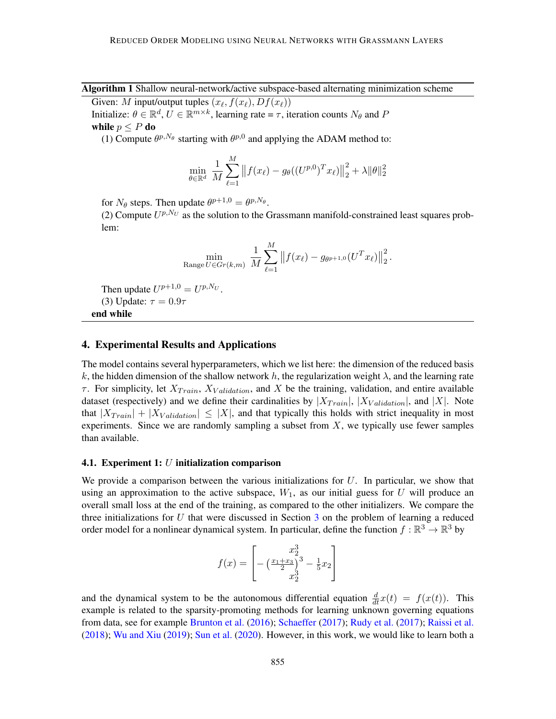Algorithm 1 Shallow neural-network/active subspace-based alternating minimization scheme

<span id="page-8-2"></span>Given: M input/output tuples  $(x_\ell, f(x_\ell), Df(x_\ell))$ Initialize:  $\theta \in \mathbb{R}^d$ ,  $U \in \mathbb{R}^{m \times k}$ , learning rate =  $\tau$ , iteration counts  $N_{\theta}$  and P

while  $p \leq P$  do

(1) Compute  $\theta^{p,N_{\theta}}$  starting with  $\theta^{p,0}$  and applying the ADAM method to:

$$
\min_{\theta \in \mathbb{R}^d} \frac{1}{M} \sum_{\ell=1}^M \left\| f(x_\ell) - g_\theta((U^{p,0})^T x_\ell) \right\|_2^2 + \lambda \|\theta\|_2^2
$$

for  $N_{\theta}$  steps. Then update  $\theta^{p+1,0} = \theta^{p,N_{\theta}}$ .

(2) Compute  $U^{p,N_U}$  as the solution to the Grassmann manifold-constrained least squares problem:

$$
\min_{\text{Range } U \in Gr(k,m)} \frac{1}{M} \sum_{\ell=1}^{M} || f(x_{\ell}) - g_{\theta^{p+1,0}}(U^{T} x_{\ell}) ||_2^2.
$$

Then update  $U^{p+1,0} = U^{p,N_U}$ . (3) Update:  $\tau = 0.9\tau$ end while

#### <span id="page-8-0"></span>4. Experimental Results and Applications

The model contains several hyperparameters, which we list here: the dimension of the reduced basis k, the hidden dimension of the shallow network h, the regularization weight  $\lambda$ , and the learning rate  $\tau$ . For simplicity, let  $X_{Train}$ ,  $X_{Validation}$ , and X be the training, validation, and entire available dataset (respectively) and we define their cardinalities by  $|X_{Train}|$ ,  $|X_{Validation}|$ , and  $|X|$ . Note that  $|X_{Train}| + |X_{Validation}| \leq |X|$ , and that typically this holds with strict inequality in most experiments. Since we are randomly sampling a subset from  $X$ , we typically use fewer samples than available.

# <span id="page-8-1"></span>4.1. Experiment 1:  $U$  initialization comparison

We provide a comparison between the various initializations for  $U$ . In particular, we show that using an approximation to the active subspace,  $W_1$ , as our initial guess for U will produce an overall small loss at the end of the training, as compared to the other initializers. We compare the three initializations for  $U$  that were discussed in Section  $3$  on the problem of learning a reduced order model for a nonlinear dynamical system. In particular, define the function  $f : \mathbb{R}^3 \to \mathbb{R}^3$  by

$$
f(x) = \begin{bmatrix} x_2^3 \\ -\left(\frac{x_1 + x_3}{2}\right)^3 - \frac{1}{5}x_2 \\ x_2^3 \end{bmatrix}
$$

and the dynamical system to be the autonomous differential equation  $\frac{d}{dt}x(t) = f(x(t))$ . This example is related to the sparsity-promoting methods for learning unknown governing equations from data, see for example [Brunton et al.](#page-14-6) [\(2016\)](#page-14-6); [Schaeffer](#page-17-7) [\(2017\)](#page-17-7); [Rudy et al.](#page-17-8) [\(2017\)](#page-17-8); [Raissi et al.](#page-16-10) [\(2018\)](#page-16-10); [Wu and Xiu](#page-17-9) [\(2019\)](#page-17-9); [Sun et al.](#page-17-10) [\(2020\)](#page-17-10). However, in this work, we would like to learn both a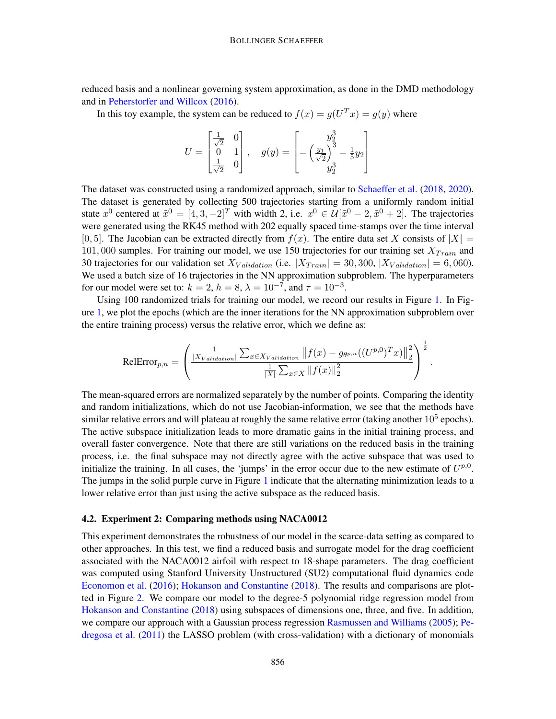reduced basis and a nonlinear governing system approximation, as done in the DMD methodology and in [Peherstorfer and Willcox](#page-16-2) [\(2016\)](#page-16-2).

In this toy example, the system can be reduced to  $f(x) = g(U^T x) = g(y)$  where

$$
U = \begin{bmatrix} \frac{1}{\sqrt{2}} & 0 \\ 0 & 1 \\ \frac{1}{\sqrt{2}} & 0 \end{bmatrix}, \quad g(y) = \begin{bmatrix} y_2^3 \\ -\left(\frac{y_1}{\sqrt{2}}\right)^3 - \frac{1}{5}y_2 \\ y_2^3 \end{bmatrix}
$$

The dataset was constructed using a randomized approach, similar to [Schaeffer et al.](#page-17-11) [\(2018,](#page-17-11) [2020\)](#page-17-12). The dataset is generated by collecting 500 trajectories starting from a uniformly random initial state  $x^0$  centered at  $\tilde{x}^0 = [4, 3, -2]^T$  with width 2, i.e.  $x^0 \in \mathcal{U}[\tilde{x}^0 - 2, \tilde{x}^0 + 2]$ . The trajectories were generated using the RK45 method with 202 equally spaced time-stamps over the time interval [0, 5]. The Jacobian can be extracted directly from  $f(x)$ . The entire data set X consists of  $|X| =$ 101, 000 samples. For training our model, we use 150 trajectories for our training set  $X_{Train}$  and 30 trajectories for our validation set  $X_{Validation}$  (i.e.  $|X_{Train}| = 30,300, |X_{Validation}| = 6,060$ ). We used a batch size of 16 trajectories in the NN approximation subproblem. The hyperparameters for our model were set to:  $k = 2$ ,  $h = 8$ ,  $\lambda = 10^{-7}$ , and  $\tau = 10^{-3}$ .

Using 100 randomized trials for training our model, we record our results in Figure [1.](#page-10-0) In Figure [1,](#page-10-0) we plot the epochs (which are the inner iterations for the NN approximation subproblem over the entire training process) versus the relative error, which we define as:

$$
\text{RelError}_{p,n} = \left(\frac{\frac{1}{|X_{Validation}|}\sum_{x \in X_{Validation}}\big\|f(x) - g_{\theta^{p,n}}((U^{p,0})^Tx)\big\|_2^2}{\frac{1}{|X|}\sum_{x \in X}\|f(x)\|_2^2}\right)^{\frac{1}{2}}.
$$

The mean-squared errors are normalized separately by the number of points. Comparing the identity and random initializations, which do not use Jacobian-information, we see that the methods have similar relative errors and will plateau at roughly the same relative error (taking another  $10^5$  epochs). The active subspace initialization leads to more dramatic gains in the initial training process, and overall faster convergence. Note that there are still variations on the reduced basis in the training process, i.e. the final subspace may not directly agree with the active subspace that was used to initialize the training. In all cases, the 'jumps' in the error occur due to the new estimate of  $U^{p,0}$ . The jumps in the solid purple curve in Figure [1](#page-10-0) indicate that the alternating minimization leads to a lower relative error than just using the active subspace as the reduced basis.

# <span id="page-9-0"></span>4.2. Experiment 2: Comparing methods using NACA0012

This experiment demonstrates the robustness of our model in the scarce-data setting as compared to other approaches. In this test, we find a reduced basis and surrogate model for the drag coefficient associated with the NACA0012 airfoil with respect to 18-shape parameters. The drag coefficient was computed using Stanford University Unstructured (SU2) computational fluid dynamics code [Economon et al.](#page-15-10) [\(2016\)](#page-15-10); [Hokanson and Constantine](#page-15-6) [\(2018\)](#page-15-6). The results and comparisons are plotted in Figure [2.](#page-11-0) We compare our model to the degree-5 polynomial ridge regression model from [Hokanson and Constantine](#page-15-6) [\(2018\)](#page-15-6) using subspaces of dimensions one, three, and five. In addition, we compare our approach with a Gaussian process regression [Rasmussen and Williams](#page-17-13) [\(2005\)](#page-17-13); [Pe](#page-16-11)[dregosa et al.](#page-16-11) [\(2011\)](#page-16-11) the LASSO problem (with cross-validation) with a dictionary of monomials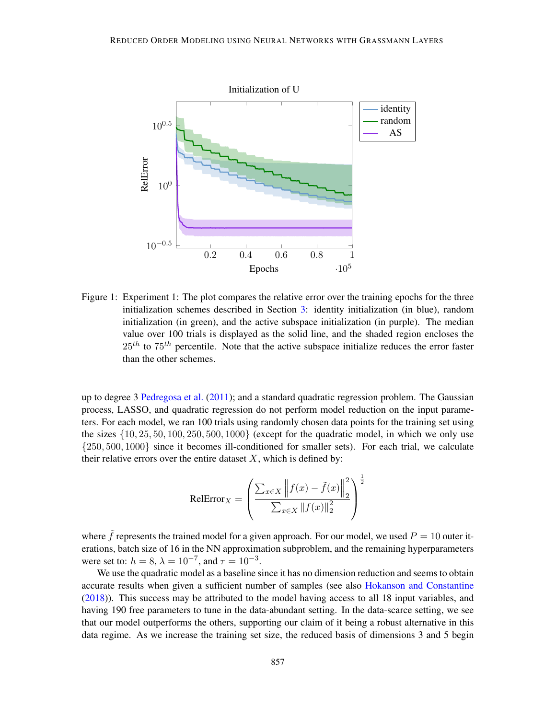

Figure 1: Experiment 1: The plot compares the relative error over the training epochs for the three initialization schemes described in Section [3:](#page-7-0) identity initialization (in blue), random initialization (in green), and the active subspace initialization (in purple). The median value over 100 trials is displayed as the solid line, and the shaded region encloses the  $25<sup>th</sup>$  to  $75<sup>th</sup>$  percentile. Note that the active subspace initialize reduces the error faster than the other schemes.

up to degree 3 [Pedregosa et al.](#page-16-11) [\(2011\)](#page-16-11); and a standard quadratic regression problem. The Gaussian process, LASSO, and quadratic regression do not perform model reduction on the input parameters. For each model, we ran 100 trials using randomly chosen data points for the training set using the sizes  $\{10, 25, 50, 100, 250, 500, 1000\}$  (except for the quadratic model, in which we only use {250, 500, 1000} since it becomes ill-conditioned for smaller sets). For each trial, we calculate their relative errors over the entire dataset  $X$ , which is defined by:

<span id="page-10-0"></span>
$$
\text{RelError}_X = \left(\frac{\sum_{x \in X} \left\|f(x) - \tilde{f}(x)\right\|_2^2}{\sum_{x \in X} \left\|f(x)\right\|_2^2}\right)^{\frac{1}{2}}
$$

where f represents the trained model for a given approach. For our model, we used  $P = 10$  outer iterations, batch size of 16 in the NN approximation subproblem, and the remaining hyperparameters were set to:  $h = 8$ ,  $\lambda = 10^{-7}$ , and  $\tau = 10^{-3}$ .

We use the quadratic model as a baseline since it has no dimension reduction and seems to obtain accurate results when given a sufficient number of samples (see also [Hokanson and Constantine](#page-15-6) [\(2018\)](#page-15-6)). This success may be attributed to the model having access to all 18 input variables, and having 190 free parameters to tune in the data-abundant setting. In the data-scarce setting, we see that our model outperforms the others, supporting our claim of it being a robust alternative in this data regime. As we increase the training set size, the reduced basis of dimensions 3 and 5 begin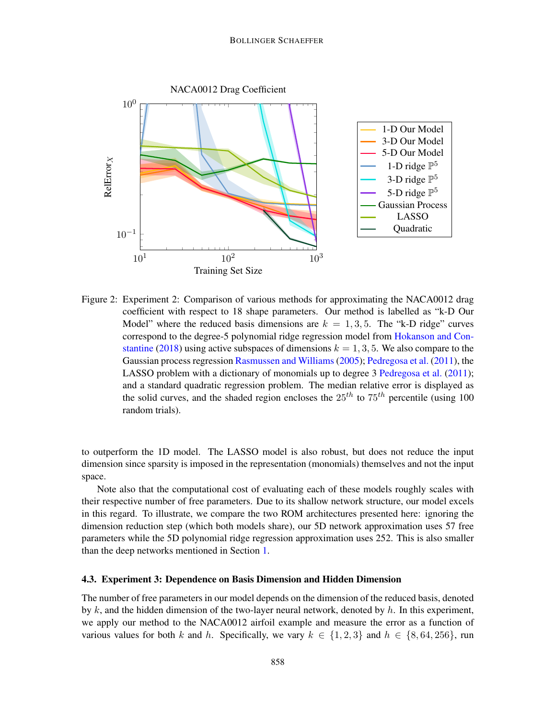

<span id="page-11-0"></span>Figure 2: Experiment 2: Comparison of various methods for approximating the NACA0012 drag coefficient with respect to 18 shape parameters. Our method is labelled as "k-D Our Model" where the reduced basis dimensions are  $k = 1, 3, 5$ . The "k-D ridge" curves correspond to the degree-5 polynomial ridge regression model from [Hokanson and Con](#page-15-6)[stantine](#page-15-6) [\(2018\)](#page-15-6) using active subspaces of dimensions  $k = 1, 3, 5$ . We also compare to the Gaussian process regression [Rasmussen and Williams](#page-17-13) [\(2005\)](#page-17-13); [Pedregosa et al.](#page-16-11) [\(2011\)](#page-16-11), the LASSO problem with a dictionary of monomials up to degree 3 [Pedregosa et al.](#page-16-11) [\(2011\)](#page-16-11); and a standard quadratic regression problem. The median relative error is displayed as the solid curves, and the shaded region encloses the  $25^{th}$  to  $75^{th}$  percentile (using 100) random trials).

to outperform the 1D model. The LASSO model is also robust, but does not reduce the input dimension since sparsity is imposed in the representation (monomials) themselves and not the input space.

Note also that the computational cost of evaluating each of these models roughly scales with their respective number of free parameters. Due to its shallow network structure, our model excels in this regard. To illustrate, we compare the two ROM architectures presented here: ignoring the dimension reduction step (which both models share), our 5D network approximation uses 57 free parameters while the 5D polynomial ridge regression approximation uses 252. This is also smaller than the deep networks mentioned in Section [1.](#page-0-1)

### <span id="page-11-1"></span>4.3. Experiment 3: Dependence on Basis Dimension and Hidden Dimension

The number of free parameters in our model depends on the dimension of the reduced basis, denoted by k, and the hidden dimension of the two-layer neural network, denoted by  $h$ . In this experiment, we apply our method to the NACA0012 airfoil example and measure the error as a function of various values for both k and h. Specifically, we vary  $k \in \{1, 2, 3\}$  and  $h \in \{8, 64, 256\}$ , run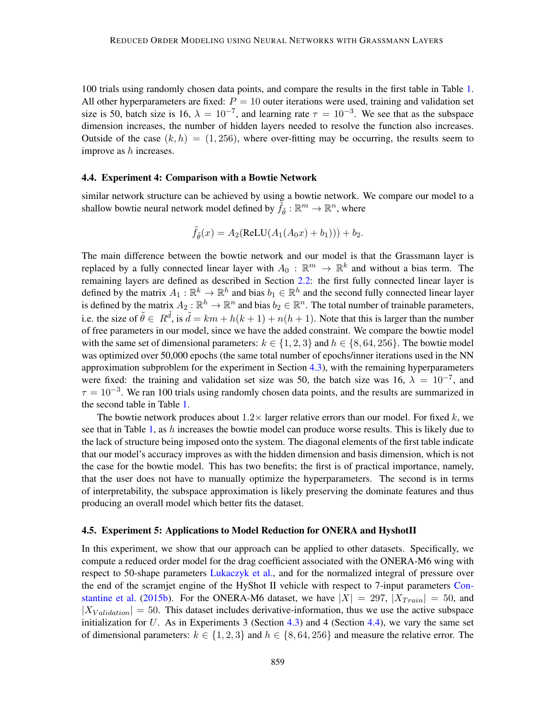100 trials using randomly chosen data points, and compare the results in the first table in Table [1.](#page-13-0) All other hyperparameters are fixed:  $P = 10$  outer iterations were used, training and validation set size is 50, batch size is 16,  $\lambda = 10^{-7}$ , and learning rate  $\tau = 10^{-3}$ . We see that as the subspace dimension increases, the number of hidden layers needed to resolve the function also increases. Outside of the case  $(k, h) = (1, 256)$ , where over-fitting may be occurring, the results seem to improve as  $h$  increases.

#### <span id="page-12-1"></span>4.4. Experiment 4: Comparison with a Bowtie Network

similar network structure can be achieved by using a bowtie network. We compare our model to a shallow bowtie neural network model defined by  $\tilde{f}_{{\tilde{\theta}}}:\mathbb{R}^m\to\mathbb{R}^n,$  where

$$
\tilde{f}_{\tilde{\theta}}(x) = A_2(\text{ReLU}(A_1(A_0x) + b_1))) + b_2.
$$

The main difference between the bowtie network and our model is that the Grassmann layer is replaced by a fully connected linear layer with  $A_0$  :  $\mathbb{R}^m \to \mathbb{R}^k$  and without a bias term. The remaining layers are defined as described in Section [2.2:](#page-5-0) the first fully connected linear layer is defined by the matrix  $A_1 : \mathbb{R}^k \to \mathbb{R}^h$  and bias  $b_1 \in \mathbb{R}^h$  and the second fully connected linear layer is defined by the matrix  $A_2 : \mathbb{R}^h \to \mathbb{R}^n$  and bias  $b_2 \in \mathbb{R}^n$ . The total number of trainable parameters, i.e. the size of  $\tilde{\theta} \in R^{\tilde{d}}$ , is  $\tilde{d} = km + h(k+1) + n(h+1)$ . Note that this is larger than the number of free parameters in our model, since we have the added constraint. We compare the bowtie model with the same set of dimensional parameters:  $k \in \{1, 2, 3\}$  and  $h \in \{8, 64, 256\}$ . The bowtie model was optimized over 50,000 epochs (the same total number of epochs/inner iterations used in the NN approximation subproblem for the experiment in Section [4.3\)](#page-11-1), with the remaining hyperparameters were fixed: the training and validation set size was 50, the batch size was 16,  $\lambda = 10^{-7}$ , and  $\tau = 10^{-3}$ . We ran 100 trials using randomly chosen data points, and the results are summarized in the second table in Table [1.](#page-13-0)

The bowtie network produces about  $1.2 \times$  larger relative errors than our model. For fixed k, we see that in Table [1,](#page-13-0) as h increases the bowtie model can produce worse results. This is likely due to the lack of structure being imposed onto the system. The diagonal elements of the first table indicate that our model's accuracy improves as with the hidden dimension and basis dimension, which is not the case for the bowtie model. This has two benefits; the first is of practical importance, namely, that the user does not have to manually optimize the hyperparameters. The second is in terms of interpretability, the subspace approximation is likely preserving the dominate features and thus producing an overall model which better fits the dataset.

#### <span id="page-12-0"></span>4.5. Experiment 5: Applications to Model Reduction for ONERA and HyshotII

In this experiment, we show that our approach can be applied to other datasets. Specifically, we compute a reduced order model for the drag coefficient associated with the ONERA-M6 wing with respect to 50-shape parameters [Lukaczyk et al.,](#page-16-12) and for the normalized integral of pressure over the end of the scramjet engine of the HyShot II vehicle with respect to 7-input parameters [Con](#page-15-11)[stantine et al.](#page-15-11) [\(2015b\)](#page-15-11). For the ONERA-M6 dataset, we have  $|X| = 297$ ,  $|X_{Train}| = 50$ , and  $|X_{Validation}| = 50$ . This dataset includes derivative-information, thus we use the active subspace initialization for U. As in Experiments 3 (Section [4.3\)](#page-11-1) and 4 (Section [4.4\)](#page-12-1), we vary the same set of dimensional parameters:  $k \in \{1, 2, 3\}$  and  $h \in \{8, 64, 256\}$  and measure the relative error. The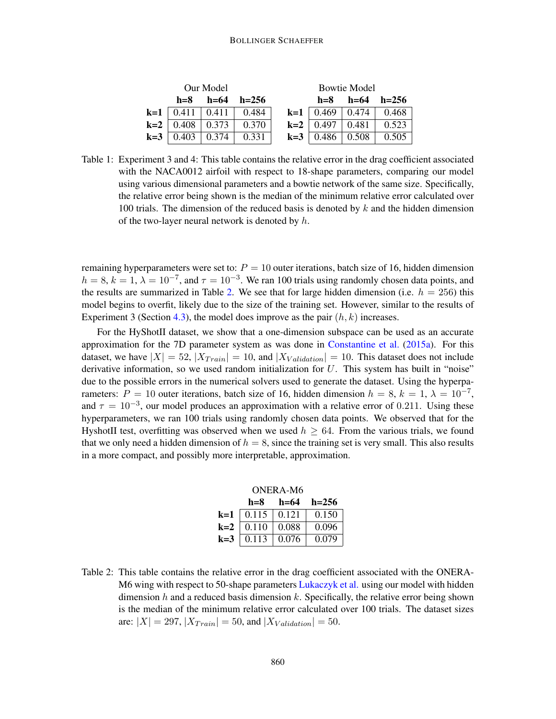#### <span id="page-13-0"></span>BOLLINGER SCHAEFFER

|                            | Our Model |                | <b>Bowtie Model</b>   |                            |                |  |
|----------------------------|-----------|----------------|-----------------------|----------------------------|----------------|--|
| $h = 8$                    |           | $h=64$ $h=256$ | $h = 8$               |                            | $h=64$ $h=256$ |  |
| <b>k=1</b>   0.411   0.411 |           | $\perp$ 0.484  |                       | <b>k=1</b>   0.469   0.474 | 0.468          |  |
| $k=2$   0.408   0.373      |           | 0.370          | $k=2$   0.497   0.481 |                            | 0.523          |  |
| $k=3$   0.403              | 0.374     | 0.331          | $k=3$   0.486   0.508 |                            | 0.505          |  |

Table 1: Experiment 3 and 4: This table contains the relative error in the drag coefficient associated with the NACA0012 airfoil with respect to 18-shape parameters, comparing our model using various dimensional parameters and a bowtie network of the same size. Specifically, the relative error being shown is the median of the minimum relative error calculated over 100 trials. The dimension of the reduced basis is denoted by  $k$  and the hidden dimension of the two-layer neural network is denoted by  $h$ .

remaining hyperparameters were set to:  $P = 10$  outer iterations, batch size of 16, hidden dimension  $h = 8$ ,  $k = 1$ ,  $\lambda = 10^{-7}$ , and  $\tau = 10^{-3}$ . We ran 100 trials using randomly chosen data points, and the results are summarized in Table [2.](#page-13-1) We see that for large hidden dimension (i.e.  $h = 256$ ) this model begins to overfit, likely due to the size of the training set. However, similar to the results of Experiment 3 (Section [4.3\)](#page-11-1), the model does improve as the pair  $(h, k)$  increases.

For the HyShotII dataset, we show that a one-dimension subspace can be used as an accurate approximation for the 7D parameter system as was done in [Constantine et al.](#page-15-2) [\(2015a\)](#page-15-2). For this dataset, we have  $|X| = 52$ ,  $|X_{Train}| = 10$ , and  $|X_{Validation}| = 10$ . This dataset does not include derivative information, so we used random initialization for  $U$ . This system has built in "noise" due to the possible errors in the numerical solvers used to generate the dataset. Using the hyperparameters:  $P = 10$  outer iterations, batch size of 16, hidden dimension  $h = 8$ ,  $k = 1$ ,  $\lambda = 10^{-7}$ , and  $\tau = 10^{-3}$ , our model produces an approximation with a relative error of 0.211. Using these hyperparameters, we ran 100 trials using randomly chosen data points. We observed that for the HyshotII test, overfitting was observed when we used  $h > 64$ . From the various trials, we found that we only need a hidden dimension of  $h = 8$ , since the training set is very small. This also results in a more compact, and possibly more interpretable, approximation.

| ONERA-M6 |                                  |                                                                                         |                     |  |  |  |  |
|----------|----------------------------------|-----------------------------------------------------------------------------------------|---------------------|--|--|--|--|
|          |                                  | $h=8$ $h=64$ $h=256$                                                                    |                     |  |  |  |  |
|          |                                  | <b>k=1</b>   0.115   0.121   0.150                                                      |                     |  |  |  |  |
|          | <b>k=2</b> $\boxed{0.110}$ 0.088 |                                                                                         | $\vert 0.096 \vert$ |  |  |  |  |
|          |                                  | <b>k=3</b> $\begin{array}{ c c c c c } \hline 0.113 & 0.076 & 0.079 \hline \end{array}$ |                     |  |  |  |  |

<span id="page-13-1"></span>Table 2: This table contains the relative error in the drag coefficient associated with the ONERA-M6 wing with respect to 50-shape parameters [Lukaczyk et al.](#page-16-12) using our model with hidden dimension h and a reduced basis dimension k. Specifically, the relative error being shown is the median of the minimum relative error calculated over 100 trials. The dataset sizes are:  $|X| = 297$ ,  $|X_{Train}| = 50$ , and  $|X_{Validation}| = 50$ .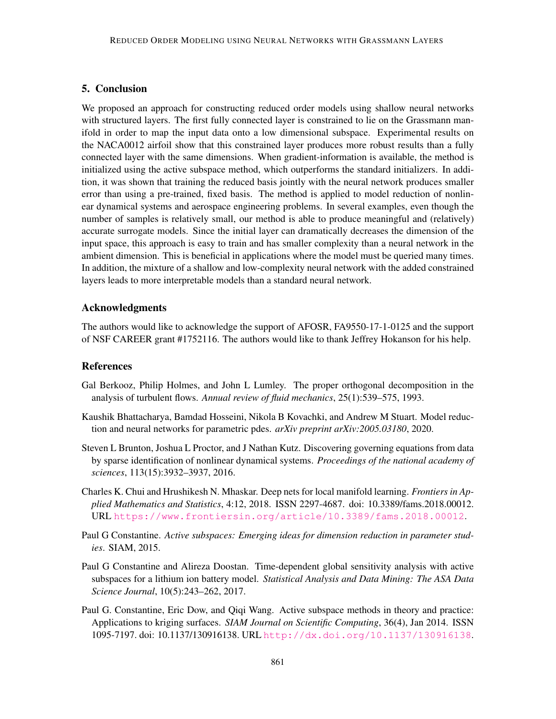# 5. Conclusion

We proposed an approach for constructing reduced order models using shallow neural networks with structured layers. The first fully connected layer is constrained to lie on the Grassmann manifold in order to map the input data onto a low dimensional subspace. Experimental results on the NACA0012 airfoil show that this constrained layer produces more robust results than a fully connected layer with the same dimensions. When gradient-information is available, the method is initialized using the active subspace method, which outperforms the standard initializers. In addition, it was shown that training the reduced basis jointly with the neural network produces smaller error than using a pre-trained, fixed basis. The method is applied to model reduction of nonlinear dynamical systems and aerospace engineering problems. In several examples, even though the number of samples is relatively small, our method is able to produce meaningful and (relatively) accurate surrogate models. Since the initial layer can dramatically decreases the dimension of the input space, this approach is easy to train and has smaller complexity than a neural network in the ambient dimension. This is beneficial in applications where the model must be queried many times. In addition, the mixture of a shallow and low-complexity neural network with the added constrained layers leads to more interpretable models than a standard neural network.

### Acknowledgments

The authors would like to acknowledge the support of AFOSR, FA9550-17-1-0125 and the support of NSF CAREER grant #1752116. The authors would like to thank Jeffrey Hokanson for his help.

### **References**

- <span id="page-14-0"></span>Gal Berkooz, Philip Holmes, and John L Lumley. The proper orthogonal decomposition in the analysis of turbulent flows. *Annual review of fluid mechanics*, 25(1):539–575, 1993.
- <span id="page-14-4"></span>Kaushik Bhattacharya, Bamdad Hosseini, Nikola B Kovachki, and Andrew M Stuart. Model reduction and neural networks for parametric pdes. *arXiv preprint arXiv:2005.03180*, 2020.
- <span id="page-14-6"></span>Steven L Brunton, Joshua L Proctor, and J Nathan Kutz. Discovering governing equations from data by sparse identification of nonlinear dynamical systems. *Proceedings of the national academy of sciences*, 113(15):3932–3937, 2016.
- <span id="page-14-5"></span>Charles K. Chui and Hrushikesh N. Mhaskar. Deep nets for local manifold learning. *Frontiers in Applied Mathematics and Statistics*, 4:12, 2018. ISSN 2297-4687. doi: 10.3389/fams.2018.00012. URL <https://www.frontiersin.org/article/10.3389/fams.2018.00012>.
- <span id="page-14-2"></span>Paul G Constantine. *Active subspaces: Emerging ideas for dimension reduction in parameter studies*. SIAM, 2015.
- <span id="page-14-3"></span>Paul G Constantine and Alireza Doostan. Time-dependent global sensitivity analysis with active subspaces for a lithium ion battery model. *Statistical Analysis and Data Mining: The ASA Data Science Journal*, 10(5):243–262, 2017.
- <span id="page-14-1"></span>Paul G. Constantine, Eric Dow, and Qiqi Wang. Active subspace methods in theory and practice: Applications to kriging surfaces. *SIAM Journal on Scientific Computing*, 36(4), Jan 2014. ISSN 1095-7197. doi: 10.1137/130916138. URL <http://dx.doi.org/10.1137/130916138>.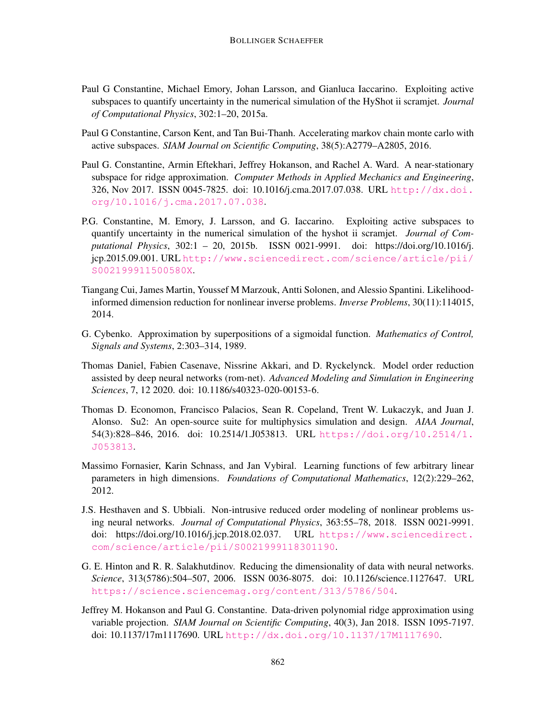- <span id="page-15-2"></span>Paul G Constantine, Michael Emory, Johan Larsson, and Gianluca Iaccarino. Exploiting active subspaces to quantify uncertainty in the numerical simulation of the HyShot ii scramjet. *Journal of Computational Physics*, 302:1–20, 2015a.
- <span id="page-15-4"></span>Paul G Constantine, Carson Kent, and Tan Bui-Thanh. Accelerating markov chain monte carlo with active subspaces. *SIAM Journal on Scientific Computing*, 38(5):A2779–A2805, 2016.
- <span id="page-15-5"></span>Paul G. Constantine, Armin Eftekhari, Jeffrey Hokanson, and Rachel A. Ward. A near-stationary subspace for ridge approximation. *Computer Methods in Applied Mechanics and Engineering*, 326, Nov 2017. ISSN 0045-7825. doi: 10.1016/j.cma.2017.07.038. URL [http://dx.doi.](http://dx.doi.org/10.1016/j.cma.2017.07.038) [org/10.1016/j.cma.2017.07.038](http://dx.doi.org/10.1016/j.cma.2017.07.038).
- <span id="page-15-11"></span>P.G. Constantine, M. Emory, J. Larsson, and G. Iaccarino. Exploiting active subspaces to quantify uncertainty in the numerical simulation of the hyshot ii scramjet. *Journal of Computational Physics*, 302:1 – 20, 2015b. ISSN 0021-9991. doi: https://doi.org/10.1016/j. jcp.2015.09.001. URL [http://www.sciencedirect.com/science/article/pii/](http://www.sciencedirect.com/science/article/pii/S002199911500580X) [S002199911500580X](http://www.sciencedirect.com/science/article/pii/S002199911500580X).
- <span id="page-15-3"></span>Tiangang Cui, James Martin, Youssef M Marzouk, Antti Solonen, and Alessio Spantini. Likelihoodinformed dimension reduction for nonlinear inverse problems. *Inverse Problems*, 30(11):114015, 2014.
- <span id="page-15-0"></span>G. Cybenko. Approximation by superpositions of a sigmoidal function. *Mathematics of Control, Signals and Systems*, 2:303–314, 1989.
- <span id="page-15-8"></span>Thomas Daniel, Fabien Casenave, Nissrine Akkari, and D. Ryckelynck. Model order reduction assisted by deep neural networks (rom-net). *Advanced Modeling and Simulation in Engineering Sciences*, 7, 12 2020. doi: 10.1186/s40323-020-00153-6.
- <span id="page-15-10"></span>Thomas D. Economon, Francisco Palacios, Sean R. Copeland, Trent W. Lukaczyk, and Juan J. Alonso. Su2: An open-source suite for multiphysics simulation and design. *AIAA Journal*, 54(3):828–846, 2016. doi: 10.2514/1.J053813. URL [https://doi.org/10.2514/1.](https://doi.org/10.2514/1.J053813) [J053813](https://doi.org/10.2514/1.J053813).
- <span id="page-15-1"></span>Massimo Fornasier, Karin Schnass, and Jan Vybiral. Learning functions of few arbitrary linear parameters in high dimensions. *Foundations of Computational Mathematics*, 12(2):229–262, 2012.
- <span id="page-15-7"></span>J.S. Hesthaven and S. Ubbiali. Non-intrusive reduced order modeling of nonlinear problems using neural networks. *Journal of Computational Physics*, 363:55–78, 2018. ISSN 0021-9991. doi: https://doi.org/10.1016/j.jcp.2018.02.037. URL [https://www.sciencedirect.](https://www.sciencedirect.com/science/article/pii/S0021999118301190) [com/science/article/pii/S0021999118301190](https://www.sciencedirect.com/science/article/pii/S0021999118301190).
- <span id="page-15-9"></span>G. E. Hinton and R. R. Salakhutdinov. Reducing the dimensionality of data with neural networks. *Science*, 313(5786):504–507, 2006. ISSN 0036-8075. doi: 10.1126/science.1127647. URL <https://science.sciencemag.org/content/313/5786/504>.
- <span id="page-15-6"></span>Jeffrey M. Hokanson and Paul G. Constantine. Data-driven polynomial ridge approximation using variable projection. *SIAM Journal on Scientific Computing*, 40(3), Jan 2018. ISSN 1095-7197. doi: 10.1137/17m1117690. URL <http://dx.doi.org/10.1137/17M1117690>.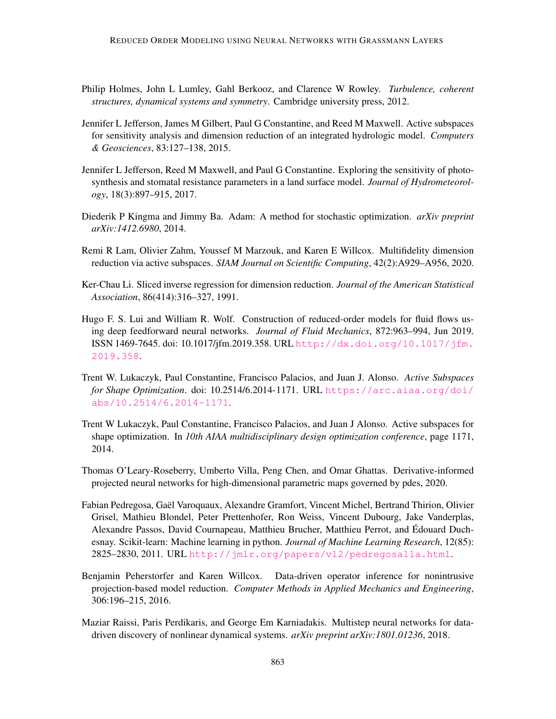- <span id="page-16-0"></span>Philip Holmes, John L Lumley, Gahl Berkooz, and Clarence W Rowley. *Turbulence, coherent structures, dynamical systems and symmetry*. Cambridge university press, 2012.
- <span id="page-16-4"></span>Jennifer L Jefferson, James M Gilbert, Paul G Constantine, and Reed M Maxwell. Active subspaces for sensitivity analysis and dimension reduction of an integrated hydrologic model. *Computers & Geosciences*, 83:127–138, 2015.
- <span id="page-16-5"></span>Jennifer L Jefferson, Reed M Maxwell, and Paul G Constantine. Exploring the sensitivity of photosynthesis and stomatal resistance parameters in a land surface model. *Journal of Hydrometeorology*, 18(3):897–915, 2017.
- <span id="page-16-9"></span>Diederik P Kingma and Jimmy Ba. Adam: A method for stochastic optimization. *arXiv preprint arXiv:1412.6980*, 2014.
- <span id="page-16-6"></span>Remi R Lam, Olivier Zahm, Youssef M Marzouk, and Karen E Willcox. Multifidelity dimension reduction via active subspaces. *SIAM Journal on Scientific Computing*, 42(2):A929–A956, 2020.
- <span id="page-16-1"></span>Ker-Chau Li. Sliced inverse regression for dimension reduction. *Journal of the American Statistical Association*, 86(414):316–327, 1991.
- <span id="page-16-7"></span>Hugo F. S. Lui and William R. Wolf. Construction of reduced-order models for fluid flows using deep feedforward neural networks. *Journal of Fluid Mechanics*, 872:963–994, Jun 2019. ISSN 1469-7645. doi: 10.1017/jfm.2019.358. URL [http://dx.doi.org/10.1017/jfm.](http://dx.doi.org/10.1017/jfm.2019.358) [2019.358](http://dx.doi.org/10.1017/jfm.2019.358).
- <span id="page-16-12"></span>Trent W. Lukaczyk, Paul Constantine, Francisco Palacios, and Juan J. Alonso. *Active Subspaces for Shape Optimization*. doi: 10.2514/6.2014-1171. URL [https://arc.aiaa.org/doi/](https://arc.aiaa.org/doi/abs/10.2514/6.2014-1171) [abs/10.2514/6.2014-1171](https://arc.aiaa.org/doi/abs/10.2514/6.2014-1171).
- <span id="page-16-3"></span>Trent W Lukaczyk, Paul Constantine, Francisco Palacios, and Juan J Alonso. Active subspaces for shape optimization. In *10th AIAA multidisciplinary design optimization conference*, page 1171, 2014.
- <span id="page-16-8"></span>Thomas O'Leary-Roseberry, Umberto Villa, Peng Chen, and Omar Ghattas. Derivative-informed projected neural networks for high-dimensional parametric maps governed by pdes, 2020.
- <span id="page-16-11"></span>Fabian Pedregosa, Gael Varoquaux, Alexandre Gramfort, Vincent Michel, Bertrand Thirion, Olivier ¨ Grisel, Mathieu Blondel, Peter Prettenhofer, Ron Weiss, Vincent Dubourg, Jake Vanderplas, Alexandre Passos, David Cournapeau, Matthieu Brucher, Matthieu Perrot, and Edouard Duch- ´ esnay. Scikit-learn: Machine learning in python. *Journal of Machine Learning Research*, 12(85): 2825–2830, 2011. URL <http://jmlr.org/papers/v12/pedregosa11a.html>.
- <span id="page-16-2"></span>Benjamin Peherstorfer and Karen Willcox. Data-driven operator inference for nonintrusive projection-based model reduction. *Computer Methods in Applied Mechanics and Engineering*, 306:196–215, 2016.
- <span id="page-16-10"></span>Maziar Raissi, Paris Perdikaris, and George Em Karniadakis. Multistep neural networks for datadriven discovery of nonlinear dynamical systems. *arXiv preprint arXiv:1801.01236*, 2018.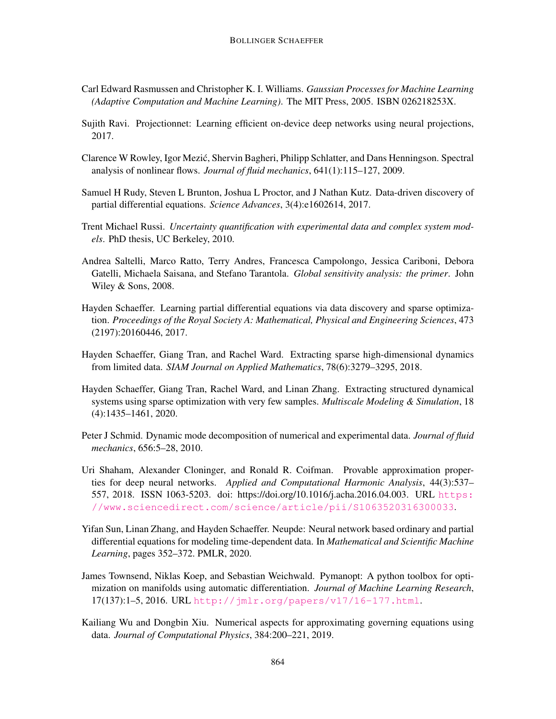- <span id="page-17-13"></span>Carl Edward Rasmussen and Christopher K. I. Williams. *Gaussian Processes for Machine Learning (Adaptive Computation and Machine Learning)*. The MIT Press, 2005. ISBN 026218253X.
- <span id="page-17-4"></span>Sujith Ravi. Projectionnet: Learning efficient on-device deep networks using neural projections, 2017.
- <span id="page-17-1"></span>Clarence W Rowley, Igor Mezic, Shervin Bagheri, Philipp Schlatter, and Dans Henningson. Spectral ´ analysis of nonlinear flows. *Journal of fluid mechanics*, 641(1):115–127, 2009.
- <span id="page-17-8"></span>Samuel H Rudy, Steven L Brunton, Joshua L Proctor, and J Nathan Kutz. Data-driven discovery of partial differential equations. *Science Advances*, 3(4):e1602614, 2017.
- <span id="page-17-3"></span>Trent Michael Russi. *Uncertainty quantification with experimental data and complex system models*. PhD thesis, UC Berkeley, 2010.
- <span id="page-17-0"></span>Andrea Saltelli, Marco Ratto, Terry Andres, Francesca Campolongo, Jessica Cariboni, Debora Gatelli, Michaela Saisana, and Stefano Tarantola. *Global sensitivity analysis: the primer*. John Wiley & Sons, 2008.
- <span id="page-17-7"></span>Hayden Schaeffer. Learning partial differential equations via data discovery and sparse optimization. *Proceedings of the Royal Society A: Mathematical, Physical and Engineering Sciences*, 473 (2197):20160446, 2017.
- <span id="page-17-11"></span>Hayden Schaeffer, Giang Tran, and Rachel Ward. Extracting sparse high-dimensional dynamics from limited data. *SIAM Journal on Applied Mathematics*, 78(6):3279–3295, 2018.
- <span id="page-17-12"></span>Hayden Schaeffer, Giang Tran, Rachel Ward, and Linan Zhang. Extracting structured dynamical systems using sparse optimization with very few samples. *Multiscale Modeling & Simulation*, 18 (4):1435–1461, 2020.
- <span id="page-17-2"></span>Peter J Schmid. Dynamic mode decomposition of numerical and experimental data. *Journal of fluid mechanics*, 656:5–28, 2010.
- <span id="page-17-5"></span>Uri Shaham, Alexander Cloninger, and Ronald R. Coifman. Provable approximation properties for deep neural networks. *Applied and Computational Harmonic Analysis*, 44(3):537– 557, 2018. ISSN 1063-5203. doi: https://doi.org/10.1016/j.acha.2016.04.003. URL [https:](https://www.sciencedirect.com/science/article/pii/S1063520316300033) [//www.sciencedirect.com/science/article/pii/S1063520316300033](https://www.sciencedirect.com/science/article/pii/S1063520316300033).
- <span id="page-17-10"></span>Yifan Sun, Linan Zhang, and Hayden Schaeffer. Neupde: Neural network based ordinary and partial differential equations for modeling time-dependent data. In *Mathematical and Scientific Machine Learning*, pages 352–372. PMLR, 2020.
- <span id="page-17-6"></span>James Townsend, Niklas Koep, and Sebastian Weichwald. Pymanopt: A python toolbox for optimization on manifolds using automatic differentiation. *Journal of Machine Learning Research*, 17(137):1–5, 2016. URL <http://jmlr.org/papers/v17/16-177.html>.
- <span id="page-17-9"></span>Kailiang Wu and Dongbin Xiu. Numerical aspects for approximating governing equations using data. *Journal of Computational Physics*, 384:200–221, 2019.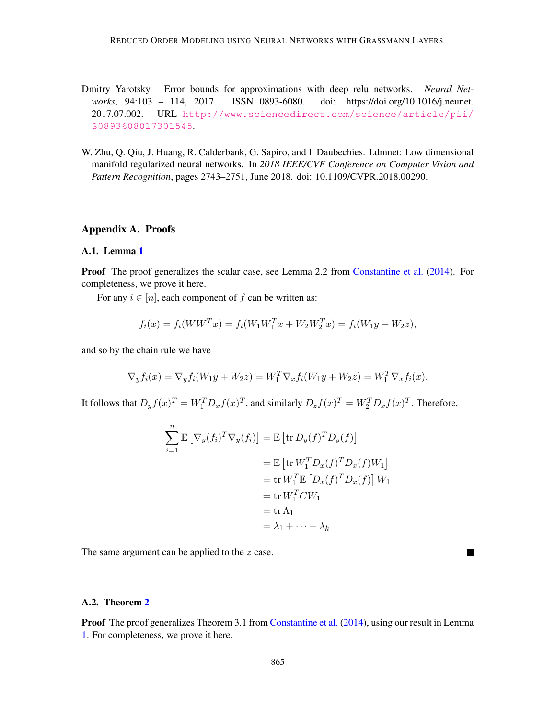- <span id="page-18-0"></span>Dmitry Yarotsky. Error bounds for approximations with deep relu networks. *Neural Networks*, 94:103 – 114, 2017. ISSN 0893-6080. doi: https://doi.org/10.1016/j.neunet. 2017.07.002. URL [http://www.sciencedirect.com/science/article/pii/](http://www.sciencedirect.com/science/article/pii/S0893608017301545) [S0893608017301545](http://www.sciencedirect.com/science/article/pii/S0893608017301545).
- <span id="page-18-1"></span>W. Zhu, Q. Qiu, J. Huang, R. Calderbank, G. Sapiro, and I. Daubechies. Ldmnet: Low dimensional manifold regularized neural networks. In *2018 IEEE/CVF Conference on Computer Vision and Pattern Recognition*, pages 2743–2751, June 2018. doi: 10.1109/CVPR.2018.00290.

# Appendix A. Proofs

#### <span id="page-18-2"></span>A.1. Lemma [1](#page-4-0)

Proof The proof generalizes the scalar case, see Lemma 2.2 from [Constantine et al.](#page-14-1) [\(2014\)](#page-14-1). For completeness, we prove it here.

For any  $i \in [n]$ , each component of f can be written as:

$$
f_i(x) = f_i(WW^T x) = f_i(W_1 W_1^T x + W_2 W_2^T x) = f_i(W_1 y + W_2 z),
$$

and so by the chain rule we have

$$
\nabla_y f_i(x) = \nabla_y f_i(W_1 y + W_2 z) = W_1^T \nabla_x f_i(W_1 y + W_2 z) = W_1^T \nabla_x f_i(x).
$$

It follows that  $D_yf(x)^T = W_1^T D_x f(x)^T$ , and similarly  $D_z f(x)^T = W_2^T D_x f(x)^T$ . Therefore,

$$
\sum_{i=1}^{n} \mathbb{E} [\nabla_y(f_i)^T \nabla_y(f_i)] = \mathbb{E} [\text{tr } D_y(f)^T D_y(f)]
$$
  
\n
$$
= \mathbb{E} [\text{tr } W_1^T D_x(f)^T D_x(f) W_1]
$$
  
\n
$$
= \text{tr } W_1^T \mathbb{E} [D_x(f)^T D_x(f)] W_1
$$
  
\n
$$
= \text{tr } W_1^T C W_1
$$
  
\n
$$
= \text{tr } \Lambda_1
$$
  
\n
$$
= \lambda_1 + \dots + \lambda_k
$$

The same argument can be applied to the  $z$  case.

# <span id="page-18-3"></span>A.2. Theorem [2](#page-5-1)

Proof The proof generalizes Theorem 3.1 from [Constantine et al.](#page-14-1) [\(2014\)](#page-14-1), using our result in Lemma [1.](#page-4-0) For completeness, we prove it here.

П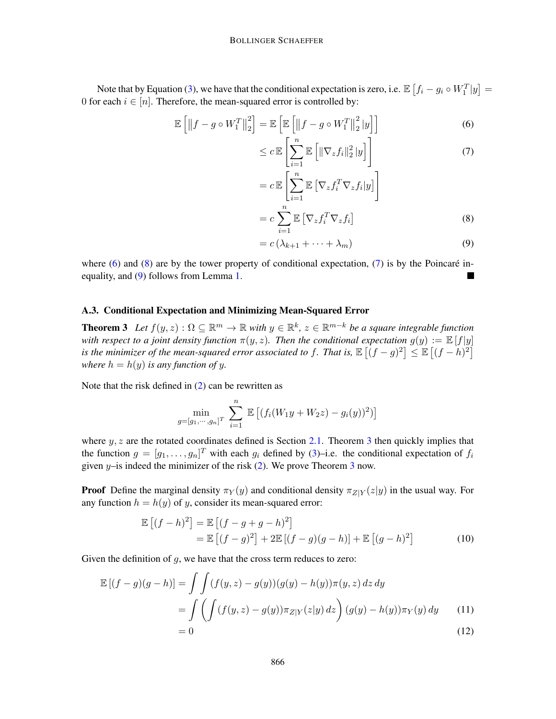Note that by Equation [\(3\)](#page-4-1), we have that the conditional expectation is zero, i.e.  $\mathbb{E}\left[f_i-g_i\circ W_1^T|y\right]=$ 0 for each  $i \in [n]$ . Therefore, the mean-squared error is controlled by:

$$
\mathbb{E}\left[\left\|f-g\circ W_{1}^{T}\right\|_{2}^{2}\right]=\mathbb{E}\left[\mathbb{E}\left[\left\|f-g\circ W_{1}^{T}\right\|_{2}^{2}|y\right]\right]
$$
(6)

<span id="page-19-0"></span>
$$
\leq c \mathbb{E}\left[\sum_{i=1}^{n} \mathbb{E}\left[\|\nabla_{z} f_{i}\|_{2}^{2} |y\right]\right]
$$
\n
$$
\left[\frac{n}{\sum_{i=1}^{n} \mathbb{E}\left[\|\nabla_{z} f_{i}\|_{2}^{2} |y\right]\right]
$$
\n(7)

<span id="page-19-2"></span>
$$
= c \mathbb{E}\left[\sum_{i=1}^{n} \mathbb{E}\left[\nabla_{z} f_{i}^{T} \nabla_{z} f_{i} | y\right]\right]
$$

$$
= c \sum_{i=1}^{n} \mathbb{E}\left[\nabla_{z} f_{i}^{T} \nabla_{z} f_{i}\right]
$$
(8)

<span id="page-19-3"></span><span id="page-19-1"></span>
$$
= c\left(\lambda_{k+1} + \dots + \lambda_m\right) \tag{9}
$$

where [\(6\)](#page-19-0) and [\(8\)](#page-19-1) are by the tower property of conditional expectation, [\(7\)](#page-19-2) is by the Poincaré inequality, and [\(9\)](#page-19-3) follows from Lemma [1.](#page-4-0)

# A.3. Conditional Expectation and Minimizing Mean-Squared Error

<span id="page-19-4"></span>**Theorem 3** Let  $f(y, z) : \Omega \subseteq \mathbb{R}^m \to \mathbb{R}$  with  $y \in \mathbb{R}^k$ ,  $z \in \mathbb{R}^{m-k}$  be a square integrable function *with respect to a joint density function*  $\pi(y, z)$ *. Then the conditional expectation*  $g(y) := \mathbb{E}[f|y]$ is the minimizer of the mean-squared error associated to f. That is,  $\mathbb{E}[(f-g)^2] \leq \mathbb{E}[(f-h)^2]$ *where*  $h = h(y)$  *is any function of y.* 

Note that the risk defined in  $(2)$  can be rewritten as

<span id="page-19-7"></span>
$$
\min_{g = [g_1, \cdots, g_n]^T} \sum_{i=1}^n \mathbb{E} \left[ (f_i(W_1y + W_2z) - g_i(y))^2) \right]
$$

where  $y, z$  are the rotated coordinates defined is Section [2.1.](#page-3-1) Theorem [3](#page-19-4) then quickly implies that the function  $g = [g_1, \ldots, g_n]^T$  with each  $g_i$  defined by [\(3\)](#page-4-1)–i.e. the conditional expectation of  $f_i$ given  $y$ –is indeed the minimizer of the risk [\(2\)](#page-4-2). We prove Theorem [3](#page-19-4) now.

**Proof** Define the marginal density  $\pi_Y(y)$  and conditional density  $\pi_{Z|Y}(z|y)$  in the usual way. For any function  $h = h(y)$  of y, consider its mean-squared error:

<span id="page-19-6"></span><span id="page-19-5"></span>
$$
\mathbb{E}\left[(f-h)^2\right] = \mathbb{E}\left[(f-g+g-h)^2\right]
$$

$$
= \mathbb{E}\left[(f-g)^2\right] + 2\mathbb{E}\left[(f-g)(g-h)\right] + \mathbb{E}\left[(g-h)^2\right]
$$
(10)

Given the definition of  $g$ , we have that the cross term reduces to zero:

$$
\mathbb{E}[(f-g)(g-h)] = \int \int (f(y,z) - g(y))(g(y) - h(y))\pi(y,z) dz dy
$$
  
= 
$$
\int \left( \int (f(y,z) - g(y))\pi_{Z|Y}(z|y) dz \right) (g(y) - h(y))\pi_Y(y) dy
$$
(11)  
= 0